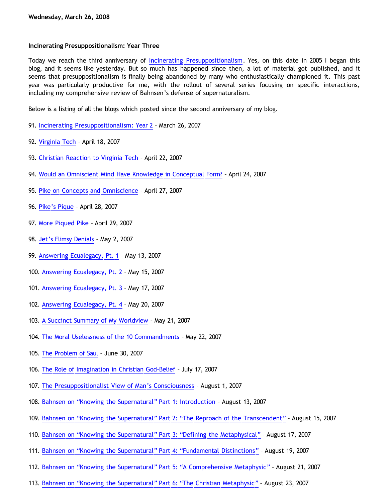## **Incinerating Presuppositionalism: Year Three**

Today we reach the third anniversary of [Incinerating Presuppositionalism.](http://bahnsenburner.blogspot.com/) Yes, on this date in 2005 I began this blog, and it seems like yesterday. But so much has happened since then, a lot of material got published, and it seems that presuppositionalism is finally being abandoned by many who enthusiastically championed it. This past year was particularly productive for me, with the rollout of several series focusing on specific interactions, including my comprehensive review of Bahnsen's defense of supernaturalism.

Below is a listing of all the blogs which posted since the second anniversary of my blog.

- 91. [Incinerating Presuppositionalism: Year 2](http://bahnsenburner.blogspot.com/2007/03/incinerating-presuppositionalism-year.html) March 26, 2007
- 92. [Virginia Tech](http://bahnsenburner.blogspot.com/2007/04/virginia-tech.html) April 18, 2007
- 93. [Christian Reaction to Virginia Tech](http://bahnsenburner.blogspot.com/2007/04/christian-reaction-to-virginia-tech.html) April 22, 2007
- 94. [Would an Omniscient Mind Have Knowledge in Conceptual Form?](http://bahnsenburner.blogspot.com/2007/04/would-omniscient-mind-have-knowledge-in.html) April 24, 2007
- 95. [Pike on Concepts and Omniscience](http://bahnsenburner.blogspot.com/2007/04/pike-on-concepts-and-omniscience.html) April 27, 2007
- 96. [Pike's Pique](http://bahnsenburner.blogspot.com/2007/04/pikes-pique.html) April 28, 2007
- 97. [More Piqued Pike](http://bahnsenburner.blogspot.com/2007/04/peters-puke.html) April 29, 2007
- 98. [Jet's Flimsy Denials](http://bahnsenburner.blogspot.com/2007/05/jets-flimsy-denials.html) May 2, 2007
- 99. [Answering Ecualegacy, Pt. 1](http://bahnsenburner.blogspot.com/2007/05/answering-ecualegacy-pt-1.html) May 13, 2007
- 100. [Answering Ecualegacy, Pt. 2](http://bahnsenburner.blogspot.com/2007/05/answering-ecualegacy-pt-2.html) May 15, 2007
- 101. [Answering Ecualegacy, Pt. 3](http://bahnsenburner.blogspot.com/2007/05/answering-ecualegacy-pt-3.html) May 17, 2007
- 102. [Answering Ecualegacy, Pt. 4](http://bahnsenburner.blogspot.com/2007/05/answering-ecualegacy-pt-4.html) May 20, 2007
- 103. [A Succinct Summary of My Worldview](http://bahnsenburner.blogspot.com/2007/05/succinct-summary-of-my-worldview.html) May 21, 2007
- 104. [The Moral Uselessness of the 10 Commandments](http://bahnsenburner.blogspot.com/2007/05/moral-uselessness-of-10-commandments.html) May 22, 2007
- 105. [The Problem of Saul](http://bahnsenburner.blogspot.com/2007/06/problem-of-saul.html) June 30, 2007
- 106. [The Role of Imagination in Christian God-Belief](http://bahnsenburner.blogspot.com/2007/07/role-of-imagination-in-christian-god.html) July 17, 2007
- 107. [The Presuppositionalist View of Man's Consciousness](http://bahnsenburner.blogspot.com/2007/08/presuppositionalist-view-of-mans.html) August 1, 2007
- 108. [Bahnsen on](http://bahnsenburner.blogspot.com/2007/08/bahnsen-on-knowing-supernatural-part-1.html) ["Knowing the Supernatural" Part 1: Introduction](http://bahnsenburner.blogspot.com/2007/08/bahnsen-on-knowing-supernatural-part-1.html) August 13, 2007
- 109. [Bahnsen on](http://bahnsenburner.blogspot.com/2007/08/bahnsen-on-knowing-supernatural-part-2.html) ["Knowing the Supernatural" Part 2:](http://bahnsenburner.blogspot.com/2007/08/bahnsen-on-knowing-supernatural-part-2.html) ["The Reproach of the Transcendent"](http://bahnsenburner.blogspot.com/2007/08/bahnsen-on-knowing-supernatural-part-2.html) August 15, 2007
- 110. [Bahnsen on](http://bahnsenburner.blogspot.com/2007/08/bahnsen-on-knowing-supernatural-part-3.html) ["Knowing the Supernatural" Part 3:](http://bahnsenburner.blogspot.com/2007/08/bahnsen-on-knowing-supernatural-part-3.html) ["Defining the Metaphysical"](http://bahnsenburner.blogspot.com/2007/08/bahnsen-on-knowing-supernatural-part-3.html) August 17, 2007
- 111. [Bahnsen on](http://bahnsenburner.blogspot.com/2007/08/bahnsen-on-knowing-supernatural-part-4.html) ["Knowing the Supernatural" Part 4:](http://bahnsenburner.blogspot.com/2007/08/bahnsen-on-knowing-supernatural-part-4.html) ["Fundamental Distinctions"](http://bahnsenburner.blogspot.com/2007/08/bahnsen-on-knowing-supernatural-part-4.html) August 19, 2007
- 112. [Bahnsen on](http://bahnsenburner.blogspot.com/2007/08/bahnsen-on-knowing-supernatural-part-5.html) ["Knowing the Supernatural" Part 5:](http://bahnsenburner.blogspot.com/2007/08/bahnsen-on-knowing-supernatural-part-5.html) ["A Comprehensive Metaphysic"](http://bahnsenburner.blogspot.com/2007/08/bahnsen-on-knowing-supernatural-part-5.html) August 21, 2007
- 113. [Bahnsen on](http://bahnsenburner.blogspot.com/2007/08/bahnsen-on-knowing-supernatural-part-6.html) ["Knowing the Supernatural" Part 6:](http://bahnsenburner.blogspot.com/2007/08/bahnsen-on-knowing-supernatural-part-6.html) ["The Christian Metaphysic"](http://bahnsenburner.blogspot.com/2007/08/bahnsen-on-knowing-supernatural-part-6.html) August 23, 2007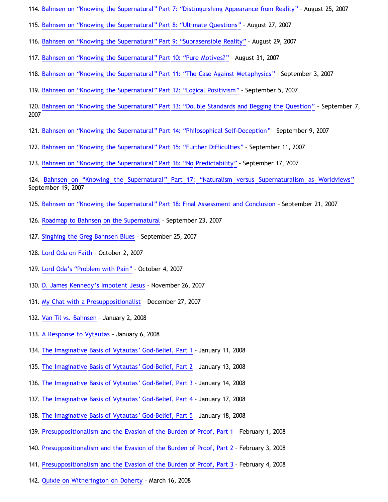- 114. [Bahnsen on](http://bahnsenburner.blogspot.com/2007/08/bahnsen-on-knowing-supernatural-part-7.html) ["Knowing the Supernatural" Part 7:](http://bahnsenburner.blogspot.com/2007/08/bahnsen-on-knowing-supernatural-part-7.html) ["Distinguishing Appearance from Reality"](http://bahnsenburner.blogspot.com/2007/08/bahnsen-on-knowing-supernatural-part-7.html) August 25, 2007
- 115. [Bahnsen on](http://bahnsenburner.blogspot.com/2007/08/bahnsen-on-knowing-supernatural-part-8.html) ["Knowing the Supernatural" Part 8:](http://bahnsenburner.blogspot.com/2007/08/bahnsen-on-knowing-supernatural-part-8.html) ["Ultimate Questions"](http://bahnsenburner.blogspot.com/2007/08/bahnsen-on-knowing-supernatural-part-8.html) August 27, 2007
- 116. [Bahnsen on](http://bahnsenburner.blogspot.com/2007/08/bahnsen-on-knowing-supernatural-part-9.html) ["Knowing the Supernatural" Part 9:](http://bahnsenburner.blogspot.com/2007/08/bahnsen-on-knowing-supernatural-part-9.html) ["Suprasensible Reality"](http://bahnsenburner.blogspot.com/2007/08/bahnsen-on-knowing-supernatural-part-9.html) August 29, 2007
- 117. [Bahnsen on](http://bahnsenburner.blogspot.com/2007/08/bahnsen-on-knowing-supernatural-part-10.html) ["Knowing the Supernatural" Part 10:](http://bahnsenburner.blogspot.com/2007/08/bahnsen-on-knowing-supernatural-part-10.html) ["Pure Motives?"](http://bahnsenburner.blogspot.com/2007/08/bahnsen-on-knowing-supernatural-part-10.html) August 31, 2007
- 118. [Bahnsen on](http://bahnsenburner.blogspot.com/2007/09/bahnsen-on-knowing-supernatural-part-11.html) ["Knowing the Supernatural" Part 11:](http://bahnsenburner.blogspot.com/2007/09/bahnsen-on-knowing-supernatural-part-11.html) ["The Case Against Metaphysics"](http://bahnsenburner.blogspot.com/2007/09/bahnsen-on-knowing-supernatural-part-11.html) September 3, 2007
- 119. [Bahnsen on](http://bahnsenburner.blogspot.com/2007/09/bahnsen-on-knowing-supernatural-part-12.html) ["Knowing the Supernatural" Part 12:](http://bahnsenburner.blogspot.com/2007/09/bahnsen-on-knowing-supernatural-part-12.html) ["Logical Positivism"](http://bahnsenburner.blogspot.com/2007/09/bahnsen-on-knowing-supernatural-part-12.html) September 5, 2007
- 120. [Bahnsen on](http://bahnsenburner.blogspot.com/2007/09/bahnsen-on-knowing-supernatural-part-13.html) ["Knowing the Supernatural" Part 13:](http://bahnsenburner.blogspot.com/2007/09/bahnsen-on-knowing-supernatural-part-13.html) ["Double Standards and Begging the Question"](http://bahnsenburner.blogspot.com/2007/09/bahnsen-on-knowing-supernatural-part-13.html) September 7, 2007
- 121. [Bahnsen on](http://bahnsenburner.blogspot.com/2007/09/bahnsen-on-knowing-supernatural-part-14.html) ["Knowing the Supernatural" Part 14:](http://bahnsenburner.blogspot.com/2007/09/bahnsen-on-knowing-supernatural-part-14.html) ["Philosophical Self-Deception"](http://bahnsenburner.blogspot.com/2007/09/bahnsen-on-knowing-supernatural-part-14.html) September 9, 2007
- 122. [Bahnsen on](http://bahnsenburner.blogspot.com/2007/09/bahnsen-on-knowing-supernatural-part-15.html) ["Knowing the Supernatural" Part 15:](http://bahnsenburner.blogspot.com/2007/09/bahnsen-on-knowing-supernatural-part-15.html) ["Further Difficulties"](http://bahnsenburner.blogspot.com/2007/09/bahnsen-on-knowing-supernatural-part-15.html) September 11, 2007
- 123. [Bahnsen on](http://bahnsenburner.blogspot.com/2007/09/bahnsen-on-knowing-supernatural-part-16.html) ["Knowing the Supernatural" Part 16:](http://bahnsenburner.blogspot.com/2007/09/bahnsen-on-knowing-supernatural-part-16.html) ["No Predictability"](http://bahnsenburner.blogspot.com/2007/09/bahnsen-on-knowing-supernatural-part-16.html) September 17, 2007

124. [Bahnsen on](http://bahnsenburner.blogspot.com/2007/09/bahnsen-on-knowing-supernatural-part-17.html) ["Knowing the Supernatural" Part 17:](http://bahnsenburner.blogspot.com/2007/09/bahnsen-on-knowing-supernatural-part-17.html) ["Naturalism versus Supernaturalism as Worldviews"](http://bahnsenburner.blogspot.com/2007/09/bahnsen-on-knowing-supernatural-part-17.html) – September 19, 2007

- 125. [Bahnsen on](http://bahnsenburner.blogspot.com/2007/09/bahnsen-on-knowing-supernatural-part-18.html) ["Knowing the Supernatural" Part 18: Final Assessment and Conclusion](http://bahnsenburner.blogspot.com/2007/09/bahnsen-on-knowing-supernatural-part-18.html) September 21, 2007
- 126. [Roadmap to Bahnsen on the Supernatural](http://bahnsenburner.blogspot.com/2007/09/roadmap-to-bahnsen-on-supernatural.html) September 23, 2007
- 127. [Singhing the Greg Bahnsen Blues](http://bahnsenburner.blogspot.com/2007/09/singhing-greg-bahnsen-blues.html) September 25, 2007
- 128. [Lord Oda on Faith](http://bahnsenburner.blogspot.com/2007/10/lord-oda-on-faith.html) October 2, 2007
- 129. [Lord Oda's](http://bahnsenburner.blogspot.com/2007/10/lord-odas-problem-with-pain.html) ["Problem with Pain"](http://bahnsenburner.blogspot.com/2007/10/lord-odas-problem-with-pain.html) October 4, 2007
- 130. [D. James Kennedy's Impotent Jesus](http://bahnsenburner.blogspot.com/2007/11/d-james-kennedys-impotent-jesus.html) November 26, 2007
- 131. [My Chat with a Presuppositionalist](http://bahnsenburner.blogspot.com/2007/12/my-chat-with-presuppositionalist.html) December 27, 2007
- 132. [Van Til vs. Bahnsen](http://bahnsenburner.blogspot.com/2008/01/van-til-vs-bahnsen.html) January 2, 2008
- 133. [A Response to Vytautas](http://bahnsenburner.blogspot.com/2008/01/response-to-vytautas.html) January 6, 2008
- 134. [The Imaginative Basis of Vytautas' God-Belief, Part 1](http://bahnsenburner.blogspot.com/2008/01/imaginative-basis-of-vytautas-god.html) January 11, 2008
- 135. [The Imaginative Basis of Vytautas' God-Belief, Part 2](http://bahnsenburner.blogspot.com/2008/01/imaginative-basis-of-vytautas-god_13.html) January 13, 2008
- 136. [The Imaginative Basis of Vytautas' God-Belief, Part 3](http://bahnsenburner.blogspot.com/2008/01/imaginative-basis-of-vytautas-god_14.html) January 14, 2008
- 137. [The Imaginative Basis of Vytautas' God-Belief, Part 4](http://bahnsenburner.blogspot.com/2008/01/imaginative-basis-of-vytautas-god_17.html) January 17, 2008
- 138. [The Imaginative Basis of Vytautas' God-Belief, Part 5](http://bahnsenburner.blogspot.com/2008/01/imaginative-basis-of-vytautas-god_18.html) January 18, 2008
- 139. [Presuppositionalism and the Evasion of the Burden of Proof, Part 1](http://bahnsenburner.blogspot.com/2008/02/presuppositionalism-and-evasion-of.html) February 1, 2008
- 140. [Presuppositionalism and the Evasion of the Burden of Proof, Part 2](http://bahnsenburner.blogspot.com/2008/02/presuppositionalism-and-evasion-of_03.html) February 3, 2008
- 141. [Presuppositionalism and the Evasion of the Burden of Proof, Part 3](http://bahnsenburner.blogspot.com/2008/02/presuppositionalism-and-evasion-of_04.html) February 4, 2008
- 142. [Quixie on Witherington on Doherty](http://bahnsenburner.blogspot.com/2008/03/quixie-on-witherington-on-doherty.html) March 16, 2008